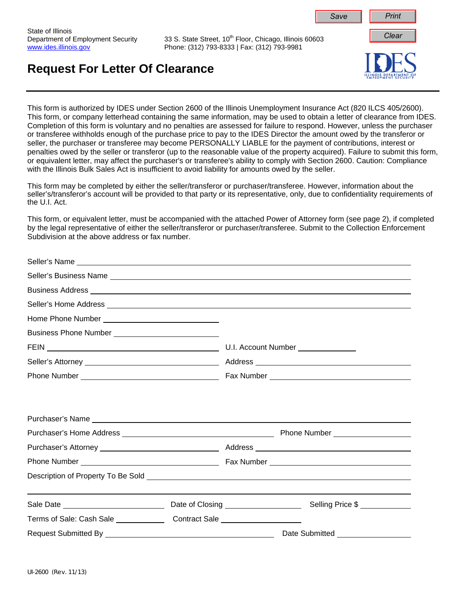

This form is authorized by IDES under Section 2600 of the Illinois Unemployment Insurance Act (820 ILCS 405/2600). This form, or company letterhead containing the same information, may be used to obtain a letter of clearance from IDES. Completion of this form is voluntary and no penalties are assessed for failure to respond. However, unless the purchaser or transferee withholds enough of the purchase price to pay to the IDES Director the amount owed by the transferor or seller, the purchaser or transferee may become PERSONALLY LIABLE for the payment of contributions, interest or penalties owed by the seller or transferor (up to the reasonable value of the property acquired). Failure to submit this form, or equivalent letter, may affect the purchaser's or transferee's ability to comply with Section 2600. Caution: Compliance with the Illinois Bulk Sales Act is insufficient to avoid liability for amounts owed by the seller.

This form may be completed by either the seller/transferor or purchaser/transferee. However, information about the seller's/transferor's account will be provided to that party or its representative, only, due to confidentiality requirements of the U.I. Act.

This form, or equivalent letter, must be accompanied with the attached Power of Attorney form (see page 2), if completed by the legal representative of either the seller/transferor or purchaser/transferee. Submit to the Collection Enforcement Subdivision at the above address or fax number.

|                                                                                  | Business Address <b>Address Address Address Address Address Address Address Address Address Address Address Address Address Address Address Address Address Address Address Address Addr</b> |
|----------------------------------------------------------------------------------|----------------------------------------------------------------------------------------------------------------------------------------------------------------------------------------------|
|                                                                                  |                                                                                                                                                                                              |
|                                                                                  |                                                                                                                                                                                              |
|                                                                                  |                                                                                                                                                                                              |
|                                                                                  | U.I. Account Number ______________                                                                                                                                                           |
|                                                                                  |                                                                                                                                                                                              |
|                                                                                  |                                                                                                                                                                                              |
|                                                                                  |                                                                                                                                                                                              |
|                                                                                  |                                                                                                                                                                                              |
|                                                                                  |                                                                                                                                                                                              |
|                                                                                  |                                                                                                                                                                                              |
|                                                                                  | ,我们也不会有什么。""我们的人,我们也不会有什么?""我们的人,我们也不会有什么?""我们的人,我们也不会有什么?""我们的人,我们也不会有什么?""我们的人                                                                                                             |
| Terms of Sale: Cash Sale _____________________Contract Sale ____________________ |                                                                                                                                                                                              |
|                                                                                  | Date Submitted _____________________                                                                                                                                                         |

State of Illinois